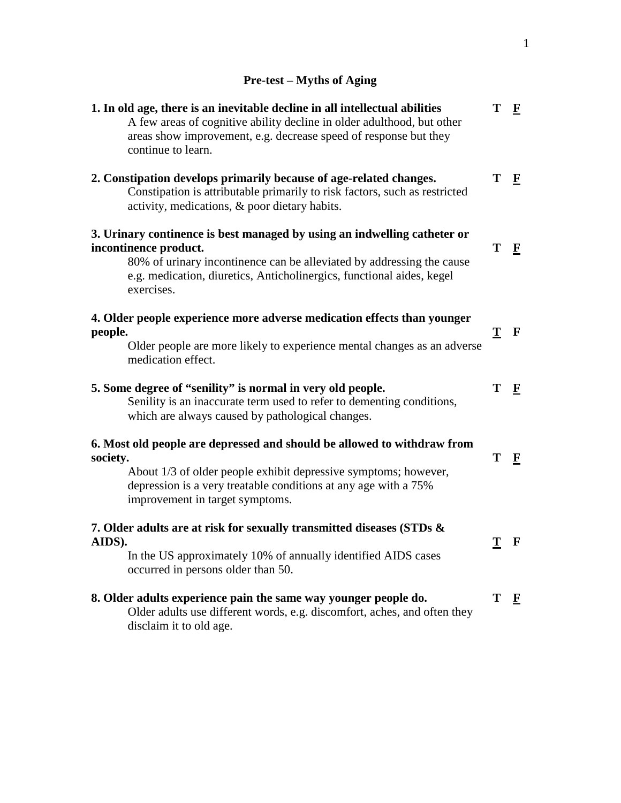## **Pre-test – Myths of Aging**

| 1. In old age, there is an inevitable decline in all intellectual abilities<br>A few areas of cognitive ability decline in older adulthood, but other<br>areas show improvement, e.g. decrease speed of response but they<br>continue to learn.                   | T | $\mathbf{F}$            |
|-------------------------------------------------------------------------------------------------------------------------------------------------------------------------------------------------------------------------------------------------------------------|---|-------------------------|
| 2. Constipation develops primarily because of age-related changes.<br>Constipation is attributable primarily to risk factors, such as restricted<br>activity, medications, & poor dietary habits.                                                                 | T | $\mathbf F$             |
| 3. Urinary continence is best managed by using an indwelling catheter or<br>incontinence product.<br>80% of urinary incontinence can be alleviated by addressing the cause<br>e.g. medication, diuretics, Anticholinergics, functional aides, kegel<br>exercises. | T | $\overline{\mathbf{F}}$ |
| 4. Older people experience more adverse medication effects than younger<br>people.<br>Older people are more likely to experience mental changes as an adverse<br>medication effect.                                                                               | T | $\mathbf F$             |
| 5. Some degree of "senility" is normal in very old people.<br>Senility is an inaccurate term used to refer to dementing conditions,<br>which are always caused by pathological changes.                                                                           | T | $\mathbf{F}$            |
| 6. Most old people are depressed and should be allowed to withdraw from<br>society.<br>About 1/3 of older people exhibit depressive symptoms; however,<br>depression is a very treatable conditions at any age with a 75%<br>improvement in target symptoms.      | T | $\mathbf{F}$            |
| 7. Older adults are at risk for sexually transmitted diseases (STDs &<br>AIDS).<br>In the US approximately 10% of annually identified AIDS cases<br>occurred in persons older than 50.                                                                            | Т | $\mathbf F$             |
| 8. Older adults experience pain the same way younger people do.<br>Older adults use different words, e.g. discomfort, aches, and often they<br>disclaim it to old age.                                                                                            | Т | $\mathbf{F}$            |